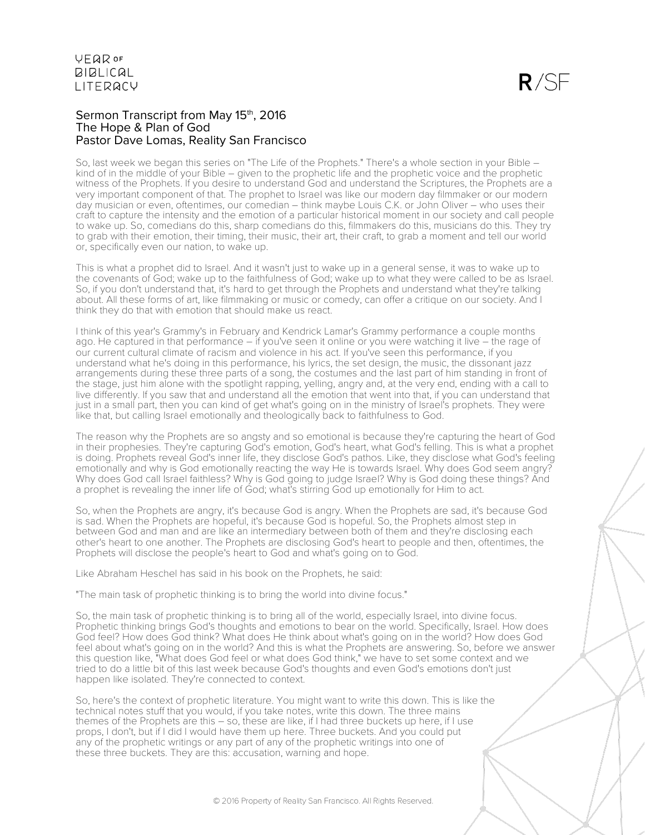# Sermon Transcript from May 15<sup>th</sup>, 2016 The Hope & Plan of God Pastor Dave Lomas, Reality San Francisco

So, last week we began this series on "The Life of the Prophets." There's a whole section in your Bible – kind of in the middle of your Bible – given to the prophetic life and the prophetic voice and the prophetic witness of the Prophets. If you desire to understand God and understand the Scriptures, the Prophets are a very important component of that. The prophet to Israel was like our modern day filmmaker or our modern day musician or even, oftentimes, our comedian – think maybe Louis C.K. or John Oliver – who uses their craft to capture the intensity and the emotion of a particular historical moment in our society and call people to wake up. So, comedians do this, sharp comedians do this, filmmakers do this, musicians do this. They try to grab with their emotion, their timing, their music, their art, their craft, to grab a moment and tell our world or, specifically even our nation, to wake up.

This is what a prophet did to Israel. And it wasn't just to wake up in a general sense, it was to wake up to the covenants of God; wake up to the faithfulness of God; wake up to what they were called to be as Israel. So, if you don't understand that, it's hard to get through the Prophets and understand what they're talking about. All these forms of art, like filmmaking or music or comedy, can offer a critique on our society. And I think they do that with emotion that should make us react.

I think of this year's Grammy's in February and Kendrick Lamar's Grammy performance a couple months ago. He captured in that performance – if you've seen it online or you were watching it live – the rage of our current cultural climate of racism and violence in his act. If you've seen this performance, if you understand what he's doing in this performance, his lyrics, the set design, the music, the dissonant jazz arrangements during these three parts of a song, the costumes and the last part of him standing in front of the stage, just him alone with the spotlight rapping, yelling, angry and, at the very end, ending with a call to live differently. If you saw that and understand all the emotion that went into that, if you can understand that just in a small part, then you can kind of get what's going on in the ministry of Israel's prophets. They were like that, but calling Israel emotionally and theologically back to faithfulness to God.

The reason why the Prophets are so angsty and so emotional is because they're capturing the heart of God in their prophesies. They're capturing God's emotion, God's heart, what God's felling. This is what a prophet is doing. Prophets reveal God's inner life, they disclose God's pathos. Like, they disclose what God's feeling emotionally and why is God emotionally reacting the way He is towards Israel. Why does God seem angry? Why does God call Israel faithless? Why is God going to judge Israel? Why is God doing these things? And a prophet is revealing the inner life of God; what's stirring God up emotionally for Him to act.

So, when the Prophets are angry, it's because God is angry. When the Prophets are sad, it's because God is sad. When the Prophets are hopeful, it's because God is hopeful. So, the Prophets almost step in between God and man and are like an intermediary between both of them and they're disclosing each other's heart to one another. The Prophets are disclosing God's heart to people and then, oftentimes, the Prophets will disclose the people's heart to God and what's going on to God.

Like Abraham Heschel has said in his book on the Prophets, he said:

"The main task of prophetic thinking is to bring the world into divine focus."

So, the main task of prophetic thinking is to bring all of the world, especially Israel, into divine focus. Prophetic thinking brings God's thoughts and emotions to bear on the world. Specifically, Israel. How does God feel? How does God think? What does He think about what's going on in the world? How does God feel about what's going on in the world? And this is what the Prophets are answering. So, before we answer this question like, "What does God feel or what does God think," we have to set some context and we tried to do a little bit of this last week because God's thoughts and even God's emotions don't just happen like isolated. They're connected to context.

So, here's the context of prophetic literature. You might want to write this down. This is like the technical notes stuff that you would, if you take notes, write this down. The three mains themes of the Prophets are this – so, these are like, if I had three buckets up here, if I use props, I don't, but if I did I would have them up here. Three buckets. And you could put any of the prophetic writings or any part of any of the prophetic writings into one of these three buckets. They are this: accusation, warning and hope.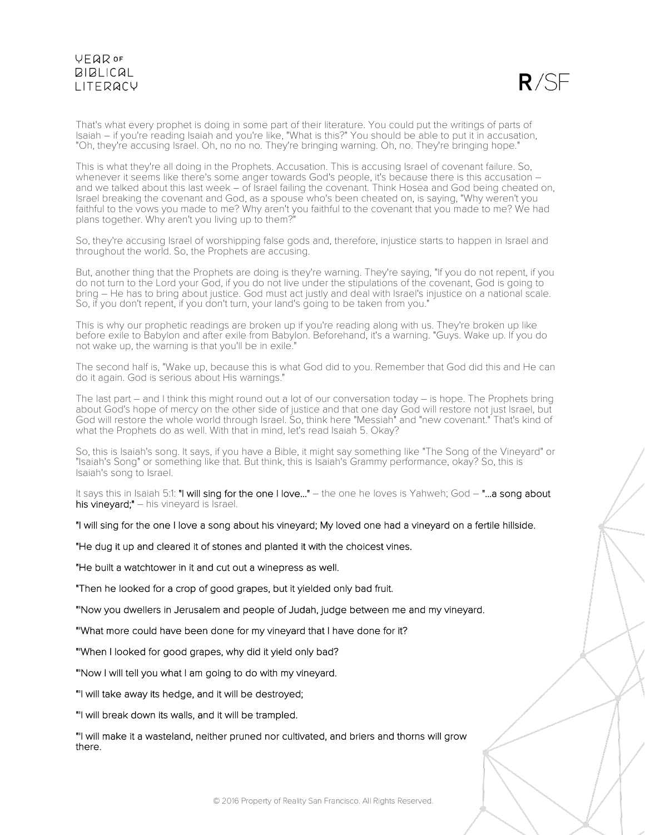$R/SF$ 

That's what every prophet is doing in some part of their literature. You could put the writings of parts of Isaiah – if you're reading Isaiah and you're like, "What is this?" You should be able to put it in accusation, "Oh, they're accusing Israel. Oh, no no no. They're bringing warning. Oh, no. They're bringing hope."

This is what they're all doing in the Prophets. Accusation. This is accusing Israel of covenant failure. So, whenever it seems like there's some anger towards God's people, it's because there is this accusation and we talked about this last week – of Israel failing the covenant. Think Hosea and God being cheated on, Israel breaking the covenant and God, as a spouse who's been cheated on, is saying, "Why weren't you faithful to the vows you made to me? Why aren't you faithful to the covenant that you made to me? We had plans together. Why aren't you living up to them?"

So, they're accusing Israel of worshipping false gods and, therefore, injustice starts to happen in Israel and throughout the world. So, the Prophets are accusing.

But, another thing that the Prophets are doing is they're warning. They're saying, "If you do not repent, if you do not turn to the Lord your God, if you do not live under the stipulations of the covenant, God is going to bring – He has to bring about justice. God must act justly and deal with Israel's injustice on a national scale. So, if you don't repent, if you don't turn, your land's going to be taken from you."

This is why our prophetic readings are broken up if you're reading along with us. They're broken up like before exile to Babylon and after exile from Babylon. Beforehand, it's a warning. "Guys. Wake up. If you do not wake up, the warning is that you'll be in exile."

The second half is, "Wake up, because this is what God did to you. Remember that God did this and He can do it again. God is serious about His warnings."

The last part – and I think this might round out a lot of our conversation today – is hope. The Prophets bring about God's hope of mercy on the other side of justice and that one day God will restore not just Israel, but God will restore the whole world through Israel. So, think here "Messiah" and "new covenant." That's kind of what the Prophets do as well. With that in mind, let's read Isaiah 5. Okay?

So, this is Isaiah's song. It says, if you have a Bible, it might say something like "The Song of the Vineyard" or "Isaiah's Song" or something like that. But think, this is Isaiah's Grammy performance, okay? So, this is Isaiah's song to Israel.

It says this in Isaiah 5:1: "I will sing for the one I love..." – the one he loves is Yahweh; God – "...a song about his vineyard;" – his vineyard is Israel.

"I will sing for the one I love a song about his vineyard; My loved one had a vineyard on a fertile hillside.

"He dug it up and cleared it of stones and planted it with the choicest vines.

"He built a watchtower in it and cut out a winepress as well.

"Then he looked for a crop of good grapes, but it yielded only bad fruit.

"'Now you dwellers in Jerusalem and people of Judah, judge between me and my vineyard.

"'What more could have been done for my vineyard that I have done for it?

"'When I looked for good grapes, why did it yield only bad?

"'Now I will tell you what I am going to do with my vineyard.

"'I will take away its hedge, and it will be destroyed;

"'I will break down its walls, and it will be trampled.

"'I will make it a wasteland, neither pruned nor cultivated, and briers and thorns will grow there.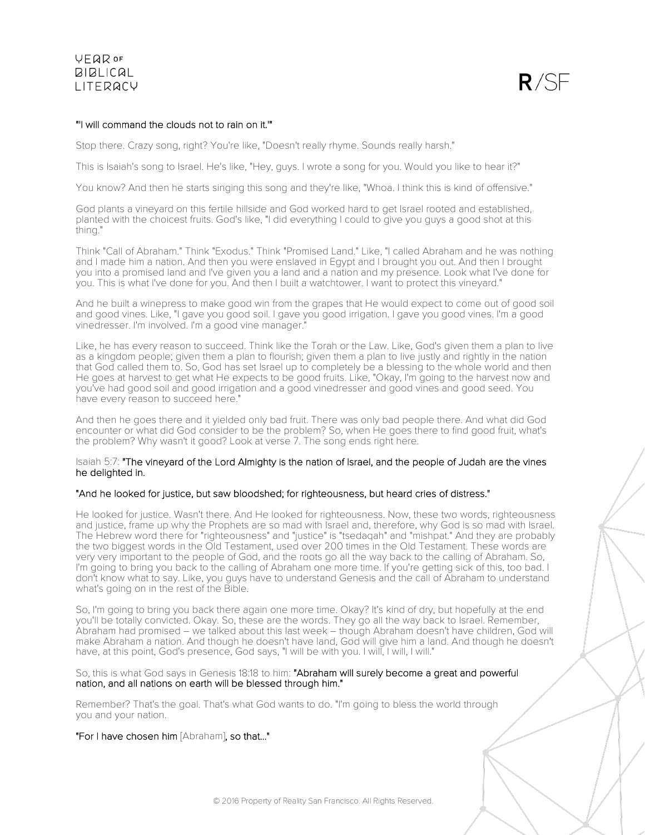

## "'I will command the clouds not to rain on it.'"

Stop there. Crazy song, right? You're like, "Doesn't really rhyme. Sounds really harsh."

This is Isaiah's song to Israel. He's like, "Hey, guys. I wrote a song for you. Would you like to hear it?"

You know? And then he starts singing this song and they're like, "Whoa. I think this is kind of offensive."

God plants a vineyard on this fertile hillside and God worked hard to get Israel rooted and established, planted with the choicest fruits. God's like, "I did everything I could to give you guys a good shot at this thing."

Think "Call of Abraham." Think "Exodus." Think "Promised Land." Like, "I called Abraham and he was nothing and I made him a nation. And then you were enslaved in Egypt and I brought you out. And then I brought you into a promised land and I've given you a land and a nation and my presence. Look what I've done for you. This is what I've done for you. And then I built a watchtower. I want to protect this vineyard."

And he built a winepress to make good win from the grapes that He would expect to come out of good soil and good vines. Like, "I gave you good soil. I gave you good irrigation. I gave you good vines. I'm a good vinedresser. I'm involved. I'm a good vine manager."

Like, he has every reason to succeed. Think like the Torah or the Law. Like, God's given them a plan to live as a kingdom people; given them a plan to flourish; given them a plan to live justly and rightly in the nation that God called them to. So, God has set Israel up to completely be a blessing to the whole world and then He goes at harvest to get what He expects to be good fruits. Like, "Okay, I'm going to the harvest now and you've had good soil and good irrigation and a good vinedresser and good vines and good seed. You have every reason to succeed here."

And then he goes there and it yielded only bad fruit. There was only bad people there. And what did God encounter or what did God consider to be the problem? So, when He goes there to find good fruit, what's the problem? Why wasn't it good? Look at verse 7. The song ends right here.

### Isaiah 5:7: "The vineyard of the Lord Almighty is the nation of Israel, and the people of Judah are the vines he delighted in.

### "And he looked for justice, but saw bloodshed; for righteousness, but heard cries of distress."

He looked for justice. Wasn't there. And He looked for righteousness. Now, these two words, righteousness and justice, frame up why the Prophets are so mad with Israel and, therefore, why God is so mad with Israel. The Hebrew word there for "righteousness" and "justice" is "tsedaqah" and "mishpat." And they are probably the two biggest words in the Old Testament, used over 200 times in the Old Testament. These words are very very important to the people of God, and the roots go all the way back to the calling of Abraham. So, I'm going to bring you back to the calling of Abraham one more time. If you're getting sick of this, too bad. I don't know what to say. Like, you guys have to understand Genesis and the call of Abraham to understand what's going on in the rest of the Bible.

So, I'm going to bring you back there again one more time. Okay? It's kind of dry, but hopefully at the end you'll be totally convicted. Okay. So, these are the words. They go all the way back to Israel. Remember, Abraham had promised – we talked about this last week – though Abraham doesn't have children, God will make Abraham a nation. And though he doesn't have land, God will give him a land. And though he doesn't have, at this point, God's presence, God says, "I will be with you. I will, I will, I will."

So, this is what God says in Genesis 18:18 to him: "Abraham will surely become a great and powerful nation, and all nations on earth will be blessed through him."

Remember? That's the goal. That's what God wants to do. "I'm going to bless the world through you and your nation.

"For I have chosen him [Abraham], so that..."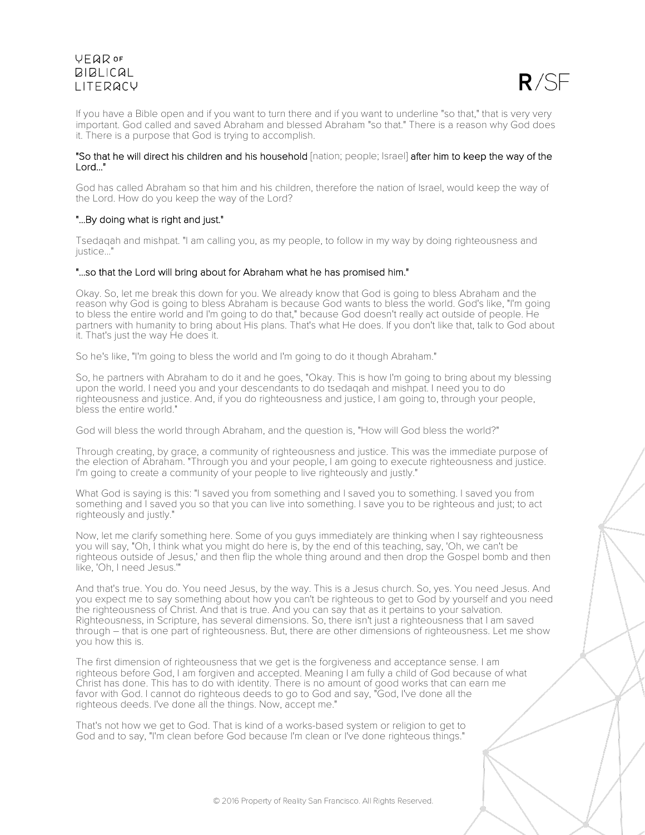

If you have a Bible open and if you want to turn there and if you want to underline "so that," that is very very important. God called and saved Abraham and blessed Abraham "so that." There is a reason why God does it. There is a purpose that God is trying to accomplish.

### "So that he will direct his children and his household [nation; people; Israel] after him to keep the way of the Lord..."

God has called Abraham so that him and his children, therefore the nation of Israel, would keep the way of the Lord. How do you keep the way of the Lord?

## "...By doing what is right and just."

Tsedaqah and mishpat. "I am calling you, as my people, to follow in my way by doing righteousness and justice..."

## "...so that the Lord will bring about for Abraham what he has promised him."

Okay. So, let me break this down for you. We already know that God is going to bless Abraham and the reason why God is going to bless Abraham is because God wants to bless the world. God's like, "I'm going to bless the entire world and I'm going to do that," because God doesn't really act outside of people. He partners with humanity to bring about His plans. That's what He does. If you don't like that, talk to God about it. That's just the way He does it.

So he's like, "I'm going to bless the world and I'm going to do it though Abraham."

So, he partners with Abraham to do it and he goes, "Okay. This is how I'm going to bring about my blessing upon the world. I need you and your descendants to do tsedaqah and mishpat. I need you to do righteousness and justice. And, if you do righteousness and justice, I am going to, through your people, bless the entire world."

God will bless the world through Abraham, and the question is, "How will God bless the world?"

Through creating, by grace, a community of righteousness and justice. This was the immediate purpose of the election of Abraham. "Through you and your people, I am going to execute righteousness and justice. I'm going to create a community of your people to live righteously and justly."

What God is saying is this: "I saved you from something and I saved you to something. I saved you from something and I saved you so that you can live into something. I save you to be righteous and just; to act righteously and justly."

Now, let me clarify something here. Some of you guys immediately are thinking when I say righteousness you will say, "Oh, I think what you might do here is, by the end of this teaching, say, 'Oh, we can't be righteous outside of Jesus,' and then flip the whole thing around and then drop the Gospel bomb and then like, 'Oh, I need Jesus.'"

And that's true. You do. You need Jesus, by the way. This is a Jesus church. So, yes. You need Jesus. And you expect me to say something about how you can't be righteous to get to God by yourself and you need the righteousness of Christ. And that is true. And you can say that as it pertains to your salvation. Righteousness, in Scripture, has several dimensions. So, there isn't just a righteousness that I am saved through – that is one part of righteousness. But, there are other dimensions of righteousness. Let me show you how this is.

The first dimension of righteousness that we get is the forgiveness and acceptance sense. I am righteous before God, I am forgiven and accepted. Meaning I am fully a child of God because of what Christ has done. This has to do with identity. There is no amount of good works that can earn me favor with God. I cannot do righteous deeds to go to God and say, "God, I've done all the righteous deeds. I've done all the things. Now, accept me."

That's not how we get to God. That is kind of a works-based system or religion to get to God and to say, "I'm clean before God because I'm clean or I've done righteous things."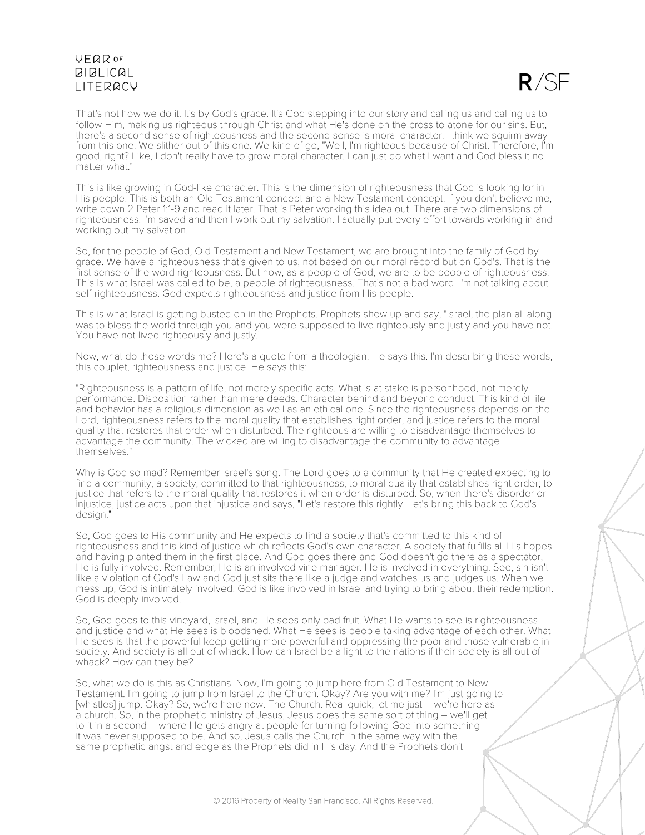

That's not how we do it. It's by God's grace. It's God stepping into our story and calling us and calling us to follow Him, making us righteous through Christ and what He's done on the cross to atone for our sins. But, there's a second sense of righteousness and the second sense is moral character. I think we squirm away from this one. We slither out of this one. We kind of go, "Well, I'm righteous because of Christ. Therefore, I'm good, right? Like, I don't really have to grow moral character. I can just do what I want and God bless it no matter what."

This is like growing in God-like character. This is the dimension of righteousness that God is looking for in His people. This is both an Old Testament concept and a New Testament concept. If you don't believe me, write down 2 Peter 1:1-9 and read it later. That is Peter working this idea out. There are two dimensions of righteousness. I'm saved and then I work out my salvation. I actually put every effort towards working in and working out my salvation.

So, for the people of God, Old Testament and New Testament, we are brought into the family of God by grace. We have a righteousness that's given to us, not based on our moral record but on God's. That is the first sense of the word righteousness. But now, as a people of God, we are to be people of righteousness. This is what Israel was called to be, a people of righteousness. That's not a bad word. I'm not talking about self-righteousness. God expects righteousness and justice from His people.

This is what Israel is getting busted on in the Prophets. Prophets show up and say, "Israel, the plan all along was to bless the world through you and you were supposed to live righteously and justly and you have not. You have not lived righteously and justly."

Now, what do those words me? Here's a quote from a theologian. He says this. I'm describing these words, this couplet, righteousness and justice. He says this:

"Righteousness is a pattern of life, not merely specific acts. What is at stake is personhood, not merely performance. Disposition rather than mere deeds. Character behind and beyond conduct. This kind of life and behavior has a religious dimension as well as an ethical one. Since the righteousness depends on the Lord, righteousness refers to the moral quality that establishes right order, and justice refers to the moral quality that restores that order when disturbed. The righteous are willing to disadvantage themselves to advantage the community. The wicked are willing to disadvantage the community to advantage themselves."

Why is God so mad? Remember Israel's song. The Lord goes to a community that He created expecting to find a community, a society, committed to that righteousness, to moral quality that establishes right order; to justice that refers to the moral quality that restores it when order is disturbed. So, when there's disorder or injustice, justice acts upon that injustice and says, "Let's restore this rightly. Let's bring this back to God's design."

So, God goes to His community and He expects to find a society that's committed to this kind of righteousness and this kind of justice which reflects God's own character. A society that fulfills all His hopes and having planted them in the first place. And God goes there and God doesn't go there as a spectator, He is fully involved. Remember, He is an involved vine manager. He is involved in everything. See, sin isn't like a violation of God's Law and God just sits there like a judge and watches us and judges us. When we mess up, God is intimately involved. God is like involved in Israel and trying to bring about their redemption. God is deeply involved.

So, God goes to this vineyard, Israel, and He sees only bad fruit. What He wants to see is righteousness and justice and what He sees is bloodshed. What He sees is people taking advantage of each other. What He sees is that the powerful keep getting more powerful and oppressing the poor and those vulnerable in society. And society is all out of whack. How can Israel be a light to the nations if their society is all out of whack? How can they be?

So, what we do is this as Christians. Now, I'm going to jump here from Old Testament to New Testament. I'm going to jump from Israel to the Church. Okay? Are you with me? I'm just going to [whistles] jump. Okay? So, we're here now. The Church. Real quick, let me just – we're here as a church. So, in the prophetic ministry of Jesus, Jesus does the same sort of thing – we'll get to it in a second – where He gets angry at people for turning following God into something it was never supposed to be. And so, Jesus calls the Church in the same way with the same prophetic angst and edge as the Prophets did in His day. And the Prophets don't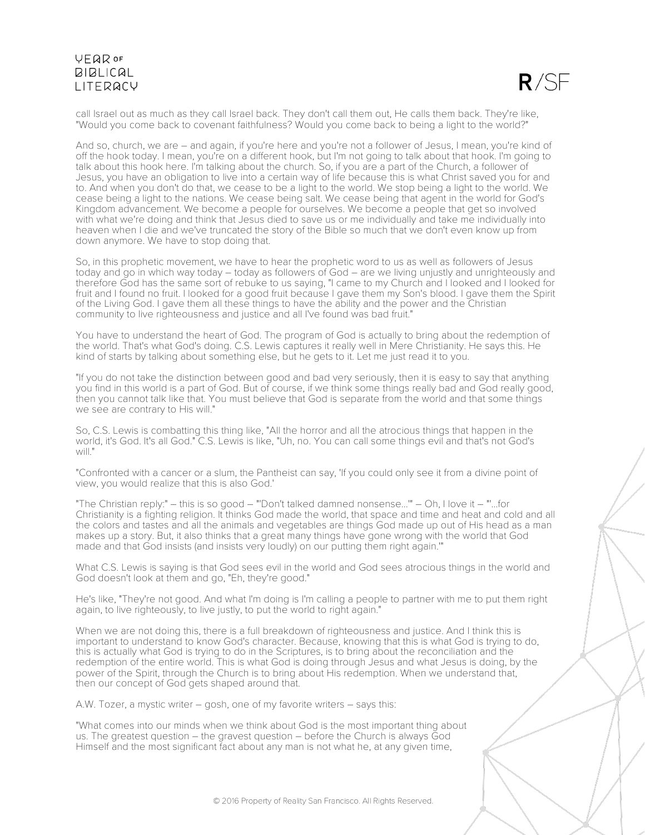

call Israel out as much as they call Israel back. They don't call them out, He calls them back. They're like, "Would you come back to covenant faithfulness? Would you come back to being a light to the world?"

And so, church, we are – and again, if you're here and you're not a follower of Jesus, I mean, you're kind of off the hook today. I mean, you're on a different hook, but I'm not going to talk about that hook. I'm going to talk about this hook here. I'm talking about the church. So, if you are a part of the Church, a follower of Jesus, you have an obligation to live into a certain way of life because this is what Christ saved you for and to. And when you don't do that, we cease to be a light to the world. We stop being a light to the world. We cease being a light to the nations. We cease being salt. We cease being that agent in the world for God's Kingdom advancement. We become a people for ourselves. We become a people that get so involved with what we're doing and think that Jesus died to save us or me individually and take me individually into heaven when I die and we've truncated the story of the Bible so much that we don't even know up from down anymore. We have to stop doing that.

So, in this prophetic movement, we have to hear the prophetic word to us as well as followers of Jesus today and go in which way today – today as followers of God – are we living unjustly and unrighteously and therefore God has the same sort of rebuke to us saying, "I came to my Church and I looked and I looked for fruit and I found no fruit. I looked for a good fruit because I gave them my Son's blood. I gave them the Spirit of the Living God. I gave them all these things to have the ability and the power and the Christian community to live righteousness and justice and all I've found was bad fruit."

You have to understand the heart of God. The program of God is actually to bring about the redemption of the world. That's what God's doing. C.S. Lewis captures it really well in Mere Christianity. He says this. He kind of starts by talking about something else, but he gets to it. Let me just read it to you.

"If you do not take the distinction between good and bad very seriously, then it is easy to say that anything you find in this world is a part of God. But of course, if we think some things really bad and God really good, then you cannot talk like that. You must believe that God is separate from the world and that some things we see are contrary to His will."

So, C.S. Lewis is combatting this thing like, "All the horror and all the atrocious things that happen in the world, it's God. It's all God." C.S. Lewis is like, "Uh, no. You can call some things evil and that's not God's will."

"Confronted with a cancer or a slum, the Pantheist can say, 'If you could only see it from a divine point of view, you would realize that this is also God.'

"The Christian reply:" – this is so good – "'Don't talked damned nonsense...'" – Oh, I love it – "'...for Christianity is a fighting religion. It thinks God made the world, that space and time and heat and cold and all the colors and tastes and all the animals and vegetables are things God made up out of His head as a man makes up a story. But, it also thinks that a great many things have gone wrong with the world that God made and that God insists (and insists very loudly) on our putting them right again.'"

What C.S. Lewis is saying is that God sees evil in the world and God sees atrocious things in the world and God doesn't look at them and go, "Eh, they're good."

He's like, "They're not good. And what I'm doing is I'm calling a people to partner with me to put them right again, to live righteously, to live justly, to put the world to right again."

When we are not doing this, there is a full breakdown of righteousness and justice. And I think this is important to understand to know God's character. Because, knowing that this is what God is trying to do, this is actually what God is trying to do in the Scriptures, is to bring about the reconciliation and the redemption of the entire world. This is what God is doing through Jesus and what Jesus is doing, by the power of the Spirit, through the Church is to bring about His redemption. When we understand that, then our concept of God gets shaped around that.

A.W. Tozer, a mystic writer – gosh, one of my favorite writers – says this:

"What comes into our minds when we think about God is the most important thing about us. The greatest question – the gravest question – before the Church is always God Himself and the most significant fact about any man is not what he, at any given time,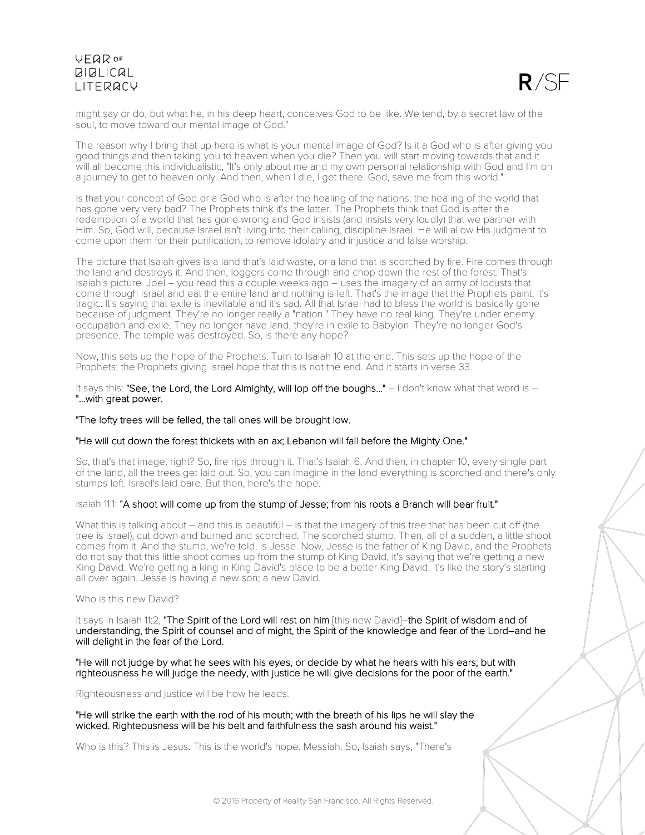

might say or do, but what he, in his deep heart, conceives God to be like. We tend, by a secret law of the soul, to move toward our mental image of God."

The reason why I bring that up here is what is your mental image of God? Is it a God who is after giving you good things and then taking you to heaven when you die? Then you will start moving towards that and it will all become this individualistic, "It's only about me and my own personal relationship with God and I'm on a journey to get to heaven only. And then, when I die, I get there. God, save me from this world."

Is that your concept of God or a God who is after the healing of the nations; the healing of the world that has gone very very bad? The Prophets think it's the latter. The Prophets think that God is after the redemption of a world that has gone wrong and God insists (and insists very loudly) that we partner with Him. So, God will, because Israel isn't living into their calling, discipline Israel. He will allow His judgment to come upon them for their purification, to remove idolatry and injustice and false worship.

The picture that Isaiah gives is a land that's laid waste, or a land that is scorched by fire. Fire comes through the land and destroys it. And then, loggers come through and chop down the rest of the forest. That's Isaiah's picture. Joel – you read this a couple weeks ago – uses the imagery of an army of locusts that come through Israel and eat the entire land and nothing is left. That's the image that the Prophets paint. It's tragic. It's saying that exile is inevitable and it's sad. All that Israel had to bless the world is basically gone because of judgment. They're no longer really a "nation." They have no real king. They're under enemy occupation and exile. They no longer have land, they're in exile to Babylon. They're no longer God's presence. The temple was destroyed. So, is there any hope?

Now, this sets up the hope of the Prophets. Turn to Isaiah 10 at the end. This sets up the hope of the Prophets; the Prophets giving Israel hope that this is not the end. And it starts in verse 33.

It says this: "See, the Lord, the Lord Almighty, will lop off the boughs..." – I don't know what that word is –<br>"...with great power.

### "The lofty trees will be felled, the tall ones will be brought low.

#### "He will cut down the forest thickets with an ax; Lebanon will fall before the Mighty One."

So, that's that image, right? So, fire rips through it. That's Isaiah 6. And then, in chapter 10, every single part of the land, all the trees get laid out. So, you can imagine in the land everything is scorched and there's only stumps left. Israel's laid bare. But then, here's the hope.

### Isaiah 11:1: "A shoot will come up from the stump of Jesse; from his roots a Branch will bear fruit."

What this is talking about – and this is beautiful – is that the imagery of this tree that has been cut off (the tree is Israel), cut down and burned and scorched. The scorched stump. Then, all of a sudden, a little shoot comes from it. And the stump, we're told, is Jesse. Now, Jesse is the father of King David, and the Prophets do not say that this little shoot comes up from the stump of King David, it's saying that we're getting a new King David. We're getting a king in King David's place to be a better King David. It's like the story's starting all over again. Jesse is having a new son; a new David.

#### Who is this new David?

It says in Isaiah 11:2, "The Spirit of the Lord will rest on him [this new David]–the Spirit of wisdom and of understanding, the Spirit of counsel and of might, the Spirit of the knowledge and fear of the Lord–and he will delight in the fear of the Lord.

"He will not judge by what he sees with his eyes, or decide by what he hears with his ears; but with righteousness he will judge the needy, with justice he will give decisions for the poor of the earth."

Righteousness and justice will be how he leads.

"He will strike the earth with the rod of his mouth; with the breath of his lips he will slay the wicked. Righteousness will be his belt and faithfulness the sash around his waist."

Who is this? This is Jesus. This is the world's hope. Messiah. So, Isaiah says, "There's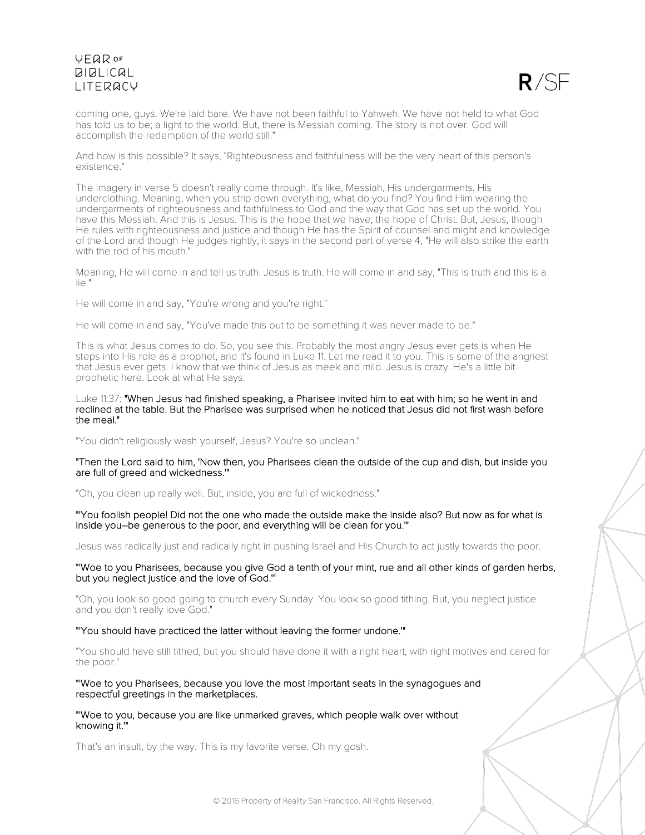

coming one, guys. We're laid bare. We have not been faithful to Yahweh. We have not held to what God has told us to be; a light to the world. But, there is Messiah coming. The story is not over. God will accomplish the redemption of the world still."

And how is this possible? It says, "Righteousness and faithfulness will be the very heart of this person's existence."

The imagery in verse 5 doesn't really come through. It's like, Messiah, His undergarments. His underclothing. Meaning, when you strip down everything, what do you find? You find Him wearing the undergarments of righteousness and faithfulness to God and the way that God has set up the world. You have this Messiah. And this is Jesus. This is the hope that we have; the hope of Christ. But, Jesus, though He rules with righteousness and justice and though He has the Spirit of counsel and might and knowledge of the Lord and though He judges rightly, it says in the second part of verse 4, "He will also strike the earth with the rod of his mouth."

Meaning, He will come in and tell us truth. Jesus is truth. He will come in and say, "This is truth and this is a lie."

He will come in and say, "You're wrong and you're right."

He will come in and say, "You've made this out to be something it was never made to be."

This is what Jesus comes to do. So, you see this. Probably the most angry Jesus ever gets is when He steps into His role as a prophet, and it's found in Luke 11. Let me read it to you. This is some of the angriest that Jesus ever gets. I know that we think of Jesus as meek and mild. Jesus is crazy. He's a little bit prophetic here. Look at what He says.

#### Luke 11:37: "When Jesus had finished speaking, a Pharisee invited him to eat with him; so he went in and reclined at the table. But the Pharisee was surprised when he noticed that Jesus did not first wash before the meal."

"You didn't religiously wash yourself, Jesus? You're so unclean."

#### "Then the Lord said to him, 'Now then, you Pharisees clean the outside of the cup and dish, but inside you are full of greed and wickedness.'"

"Oh, you clean up really well. But, inside, you are full of wickedness."

"'You foolish people! Did not the one who made the outside make the inside also? But now as for what is inside you–be generous to the poor, and everything will be clean for you.'"

Jesus was radically just and radically right in pushing Israel and His Church to act justly towards the poor.

"'Woe to you Pharisees, because you give God a tenth of your mint, rue and all other kinds of garden herbs, but you neglect justice and the love of God.'"

"Oh, you look so good going to church every Sunday. You look so good tithing. But, you neglect justice and you don't really love God."

#### "'You should have practiced the latter without leaving the former undone.'"

"You should have still tithed, but you should have done it with a right heart, with right motives and cared for the poor."

"'Woe to you Pharisees, because you love the most important seats in the synagogues and respectful greetings in the marketplaces.

"'Woe to you, because you are like unmarked graves, which people walk over without knowing it.'"

That's an insult, by the way. This is my favorite verse. Oh my gosh.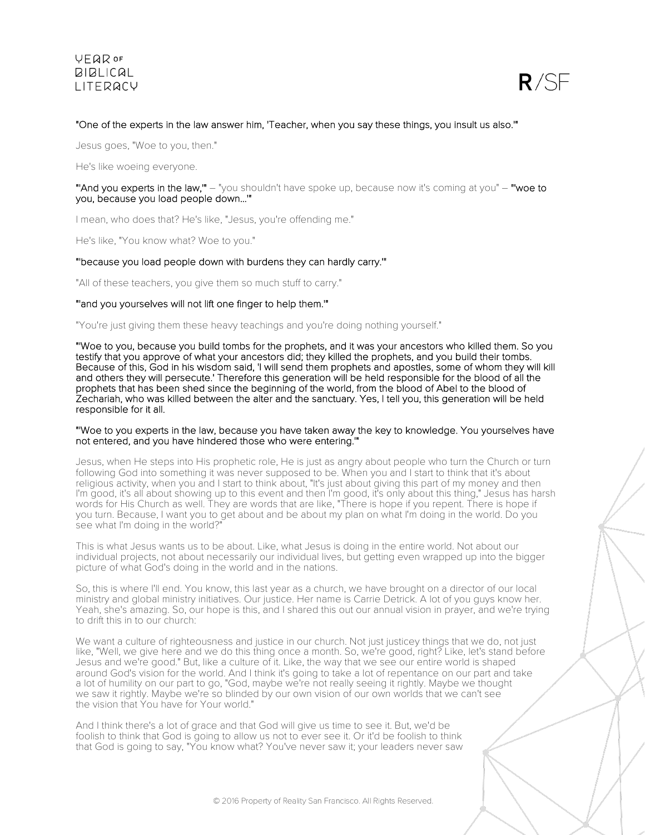

## "One of the experts in the law answer him, 'Teacher, when you say these things, you insult us also.'"

Jesus goes, "Woe to you, then."

He's like woeing everyone.

"'And you experts in the law,"" - "you shouldn't have spoke up, because now it's coming at you" - "woe to you, because you load people down...'"

I mean, who does that? He's like, "Jesus, you're offending me."

He's like, "You know what? Woe to you."

### "'because you load people down with burdens they can hardly carry.'"

"All of these teachers, you give them so much stuff to carry."

#### "'and you yourselves will not lift one finger to help them.'"

"You're just giving them these heavy teachings and you're doing nothing yourself."

"'Woe to you, because you build tombs for the prophets, and it was your ancestors who killed them. So you testify that you approve of what your ancestors did; they killed the prophets, and you build their tombs. Because of this, God in his wisdom said, 'I will send them prophets and apostles, some of whom they will kill and others they will persecute.' Therefore this generation will be held responsible for the blood of all the prophets that has been shed since the beginning of the world, from the blood of Abel to the blood of Zechariah, who was killed between the alter and the sanctuary. Yes, I tell you, this generation will be held responsible for it all.

#### "'Woe to you experts in the law, because you have taken away the key to knowledge. You yourselves have not entered, and you have hindered those who were entering.'"

Jesus, when He steps into His prophetic role, He is just as angry about people who turn the Church or turn following God into something it was never supposed to be. When you and I start to think that it's about religious activity, when you and I start to think about, "It's just about giving this part of my money and then I'm good, it's all about showing up to this event and then I'm good, it's only about this thing," Jesus has harsh words for His Church as well. They are words that are like, "There is hope if you repent. There is hope if you turn. Because, I want you to get about and be about my plan on what I'm doing in the world. Do you see what I'm doing in the world?"

This is what Jesus wants us to be about. Like, what Jesus is doing in the entire world. Not about our individual projects, not about necessarily our individual lives, but getting even wrapped up into the bigger picture of what God's doing in the world and in the nations.

So, this is where I'll end. You know, this last year as a church, we have brought on a director of our local ministry and global ministry initiatives. Our justice. Her name is Carrie Detrick. A lot of you guys know her. Yeah, she's amazing. So, our hope is this, and I shared this out our annual vision in prayer, and we're trying to drift this in to our church:

We want a culture of righteousness and justice in our church. Not just justicey things that we do, not just like, "Well, we give here and we do this thing once a month. So, we're good, right? Like, let's stand before Jesus and we're good." But, like a culture of it. Like, the way that we see our entire world is shaped around God's vision for the world. And I think it's going to take a lot of repentance on our part and take a lot of humility on our part to go, "God, maybe we're not really seeing it rightly. Maybe we thought we saw it rightly. Maybe we're so blinded by our own vision of our own worlds that we can't see the vision that You have for Your world."

And I think there's a lot of grace and that God will give us time to see it. But, we'd be foolish to think that God is going to allow us not to ever see it. Or it'd be foolish to think that God is going to say, "You know what? You've never saw it; your leaders never saw